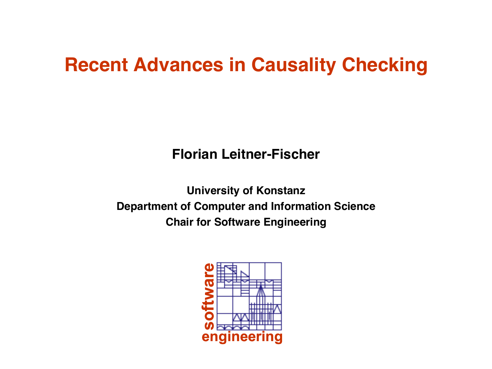## **Recent Advances in Causality Checking**

**Florian Leitner-Fischer**

**University of Konstanz Department of Computer and Information Science Chair for Software Engineering**

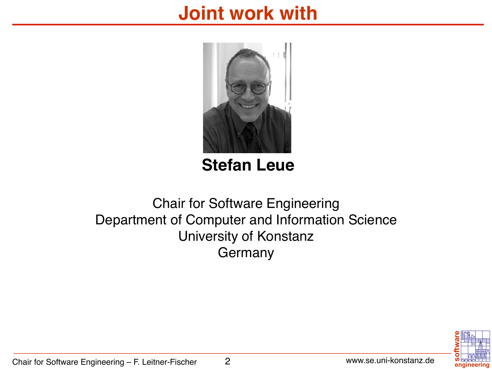### **Joint work with**



### **Stefan Leue**

### Chair for Software Engineering Department of Computer and Information Science University of Konstanz Germany

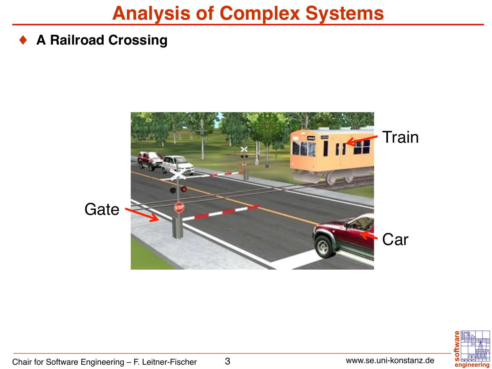### **Analysis of Complex Systems**

#### ♦ **A Railroad Crossing**



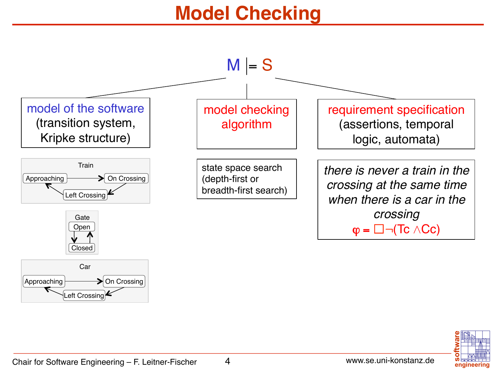## **Model Checking**



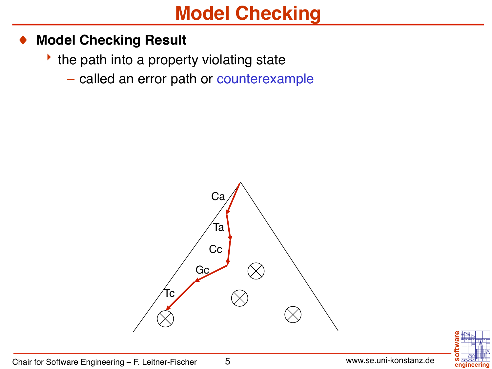## **Model Checking**

#### **Model Checking Result**

- $\cdot$  the path into a property violating state
	- called an error path or counterexample



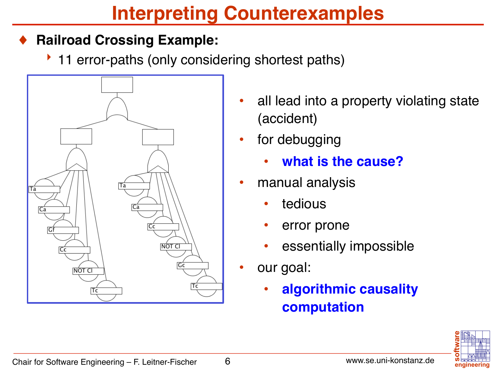## **Interpreting Counterexamples**

### **Railroad Crossing Example:**

▶ 11 error-paths (only considering shortest paths)



- all lead into a property violating state (accident)
- for debugging
	- **what is the cause?**
- manual analysis
	- tedious
	- error prone
	- essentially impossible
- our goal:
	- **algorithmic causality computation**

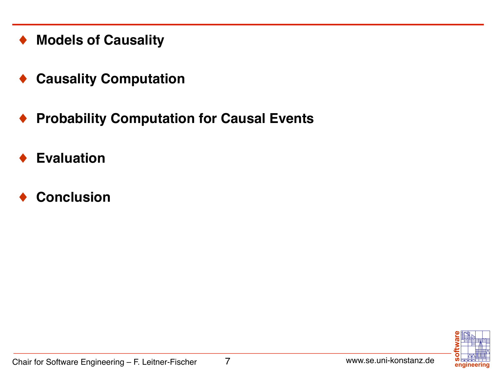- **Models of Causality**
- **Causality Computation**
- ♦ **Probability Computation for Causal Events**
- **Evaluation**
- **Conclusion**

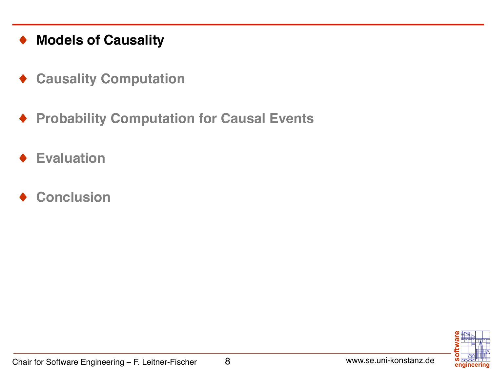#### ♦ **Models of Causality**

- ♦ **Causality Computation**
- ♦ **Probability Computation for Causal Events**
- **Evaluation**
- **Conclusion**

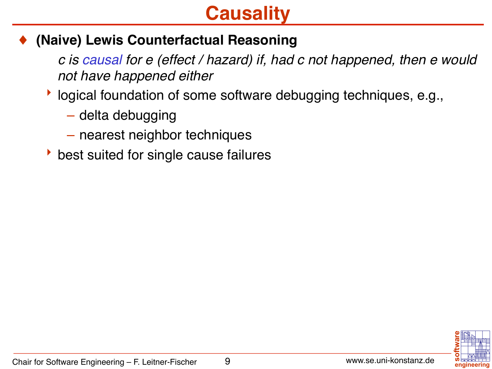## **Causality**

### **(Naive) Lewis Counterfactual Reasoning**

*c is causal for e (effect / hazard) if, had c not happened, then e would not have happened either*

- **B** logical foundation of some software debugging techniques, e.g.,
	- delta debugging
	- nearest neighbor techniques
- $\rightarrow$  best suited for single cause failures

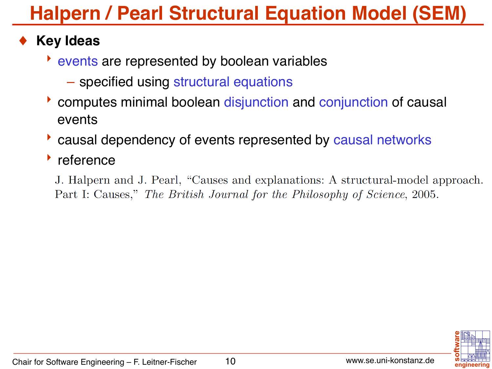# **Halpern / Pearl Structural Equation Model (SEM)**

### **Key Ideas**

- $\rightarrow$  events are represented by boolean variables
	- specified using structural equations
- $\triangleright$  computes minimal boolean disjunction and conjunction of causal events
- causal dependency of events represented by causal networks

### $\cdot$  reference

J. Halpern and J. Pearl, "Causes and explanations: A structural-model approach. Part I: Causes," The British Journal for the Philosophy of Science, 2005.

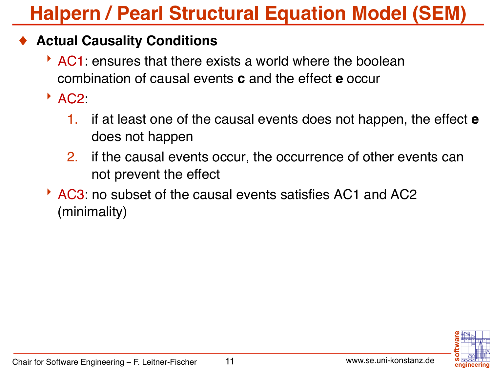# **Halpern / Pearl Structural Equation Model (SEM)**

### **Actual Causality Conditions**

 $\overline{\phantom{a}}$  AC1: ensures that there exists a world where the boolean combination of causal events **c** and the effect **e** occur

 $^{\triangleright}$  AC2:

- 1. if at least one of the causal events does not happen, the effect **e** does not happen
- 2. if the causal events occur, the occurrence of other events can not prevent the effect
- AC3: no subset of the causal events satisfies AC1 and AC2 (minimality)

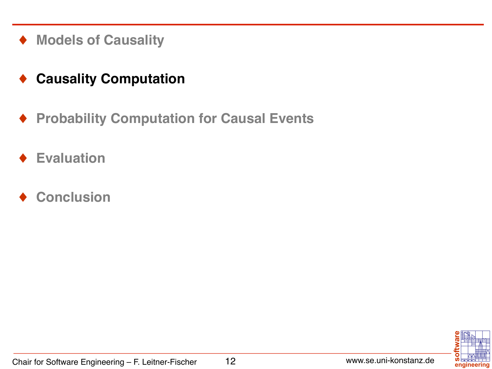♦ **Models of Causality**

### ♦ **Causality Computation**

- ♦ **Probability Computation for Causal Events**
- **Evaluation**
- **Conclusion**

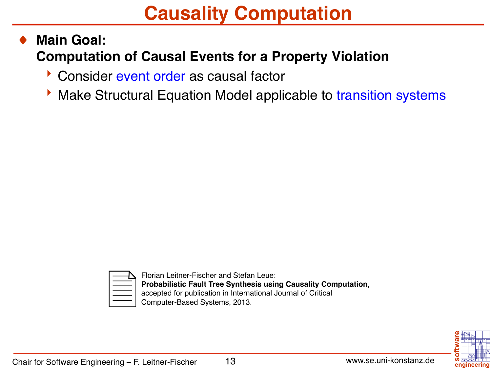## **Causality Computation**

### **Main Goal: Computation of Causal Events for a Property Violation**

- Consider event order as causal factor
- **Make Structural Equation Model applicable to transition systems**



Florian Leitner-Fischer and Stefan Leue: **Probabilistic Fault Tree Synthesis using Causality Computation**, accepted for publication in International Journal of Critical Computer-Based Systems, 2013.

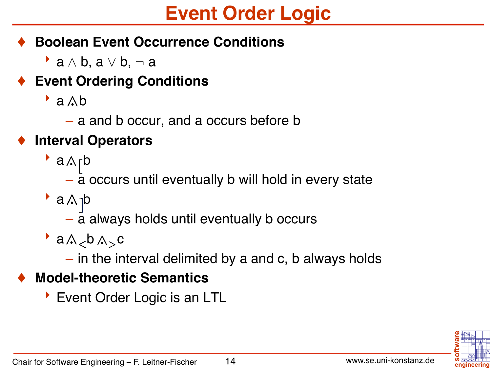## **Event Order Logic**

### **Boolean Event Occurrence Conditions**

a  $\wedge$  b, a  $\vee$  b,  $\neg$  a

### **Event Ordering Conditions**

- $\rightarrow$  a  $\wedge$  b
	- a and b occur, and a occurs before b

### **Interval Operators**

- $\cdot$  a $\wedge$ <sub>r</sub>b
	- a occurs until eventually b will hold in every state
- $\bullet$  a  $\land$  <sub>1</sub>b
	- a always holds until eventually b occurs
- $a \wedge_{\lt} b \wedge_{\gt} c$ 
	- in the interval delimited by a and c, b always holds

### **Model-theoretic Semantics**

**Event Order Logic is an LTL**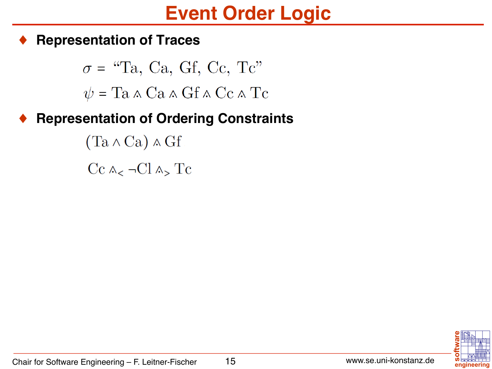### **Event Order Logic**

#### **Representation of Traces**

 $\sigma =$  "Ta, Ca, Gf, Cc, Tc"  $\psi =$ Ta  $\wedge$ Ca  $\wedge$ Gf  $\wedge$ Cc  $\wedge$ Tc

### **Representation of Ordering Constraints**

 $(Ta \wedge Ca) \wedge Gf$  $Cc \wedge_{\leq} \neg Cl \wedge_{\geq} Tc$ 

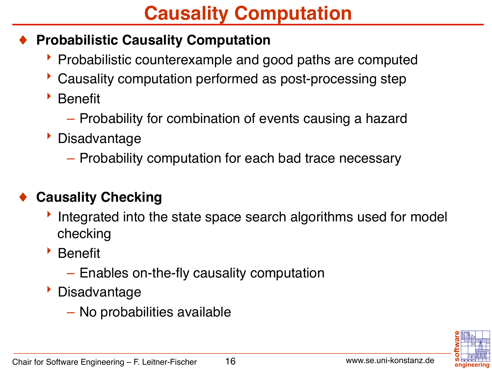## **Causality Computation**

### **Probabilistic Causality Computation**

- **Probabilistic counterexample and good paths are computed**
- Causality computation performed as post-processing step
- $\triangleright$  Benefit
	- Probability for combination of events causing a hazard
- **b** Disadvantage
	- Probability computation for each bad trace necessary

### **Causality Checking**

- If integrated into the state space search algorithms used for model checking
- **Benefit** 
	- Enables on-the-fly causality computation
- **Disadvantage** 
	- No probabilities available

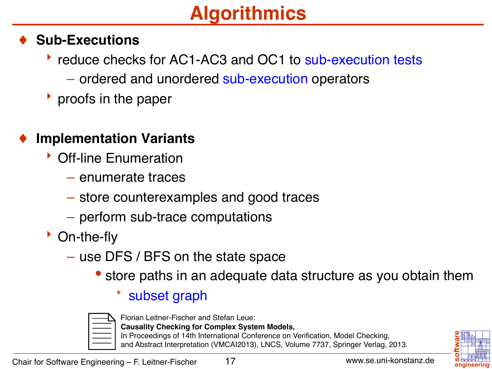# **Algorithmics**

### **Sub-Executions**

- reduce checks for AC1-AC3 and OC1 to sub-execution tests
	- ordered and unordered sub-execution operators
- $\rightarrow$  proofs in the paper

### **Implementation Variants**

- $\triangleright$  Off-line Enumeration
	- enumerate traces
	- store counterexamples and good traces
	- perform sub-trace computations
- $\bullet$  On-the-fly
	- use DFS / BFS on the state space
		- store paths in an adequate data structure as you obtain them

#### subset graph



Florian Leitner-Fischer and Stefan Leue:

- **Causality Checking for Complex System Models,**
- In Proceedings of 14th International Conference on Verification, Model Checking, and Abstract Interpretation (VMCAI2013), LNCS, Volume 7737, Springer Verlag, 2013.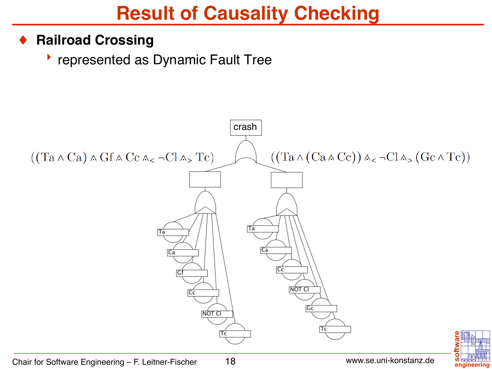## **Result of Causality Checking**

#### **Railroad Crossing**

**Performance Fault Tree** 

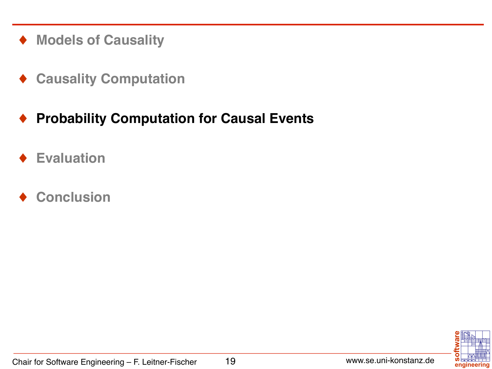- ♦ **Models of Causality**
- ♦ **Causality Computation**

### ♦ **Probability Computation for Causal Events**

- **Evaluation**
- **Conclusion**

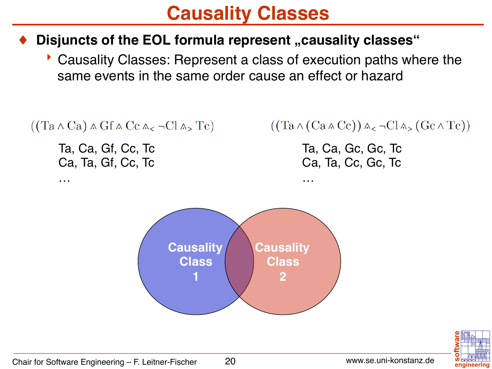### **Causality Classes**

#### **Disjuncts of the EOL formula represent "causality classes"**

**Causality Classes: Represent a class of execution paths where the** same events in the same order cause an effect or hazard

```
((Ta \wedge Ca) \wedge Gf \wedge Cc \wedge_{< \neg Cl \wedge_{>} Tc)
```
Ta, Ca, Gf, Cc, Tc Ca, Ta, Gf, Cc, Tc

…

### $((Ta \wedge (Ca \wedge Cc)) \wedge_{<} \neg Cl \wedge_{>} (Gc \wedge Tc))$

Ta, Ca, Gc, Gc, Tc Ca, Ta, Cc, Gc, Tc

…



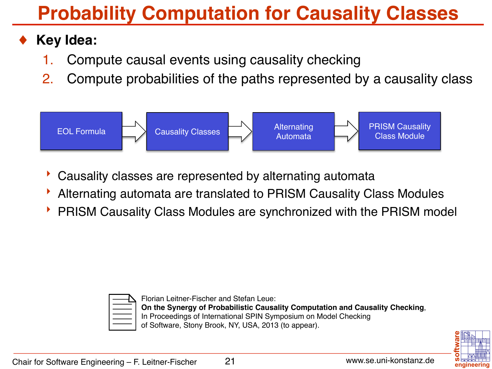# **Probability Computation for Causality Classes**

### **Key Idea:**

- 1. Compute causal events using causality checking
- 2. Compute probabilities of the paths represented by a causality class



- Causality classes are represented by alternating automata
- 8 Alternating automata are translated to PRISM Causality Class Modules
- 8 PRISM Causality Class Modules are synchronized with the PRISM model



Florian Leitner-Fischer and Stefan Leue: **On the Synergy of Probabilistic Causality Computation and Causality Checking**, In Proceedings of International SPIN Symposium on Model Checking of Software, Stony Brook, NY, USA, 2013 (to appear).

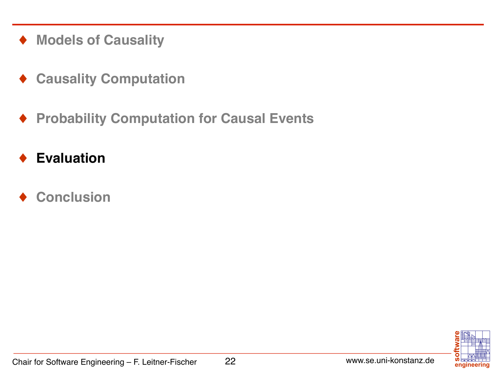- ♦ **Models of Causality**
- ♦ **Causality Computation**
- ♦ **Probability Computation for Causal Events**
- **Evaluation**
- **Conclusion**

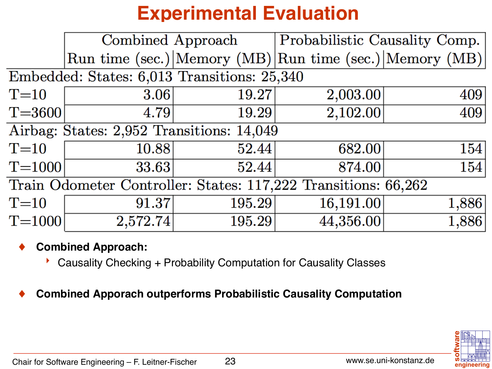# **Experimental Evaluation**

|                                                                | Combined Approach |        | Probabilistic Causality Comp.                           |       |
|----------------------------------------------------------------|-------------------|--------|---------------------------------------------------------|-------|
|                                                                |                   |        | Run time (sec.) Memory (MB) Run time (sec.) Memory (MB) |       |
| Embedded: States: 6,013 Transitions: 25,340                    |                   |        |                                                         |       |
| $T=10$                                                         | 3.06              | 19.27  | 2,003.00                                                | 409   |
| $T = 3600$                                                     | 4.79              | 19.29  | 2,102.00                                                | 409   |
| Airbag: States: 2,952 Transitions: 14,049                      |                   |        |                                                         |       |
| $T=10$                                                         | 10.88             | 52.44  | 682.00                                                  | 154   |
| $T = 1000$                                                     | 33.63             | 52.44  | 874.00                                                  | 154   |
| Train Odometer Controller: States: 117,222 Transitions: 66,262 |                   |        |                                                         |       |
| $T=10$                                                         | 91.37             | 195.29 | 16,191.00                                               | 1,886 |
| $T = 1000$                                                     | 2,572.74          | 195.29 | 44,356.00                                               | 1,886 |

#### **Combined Approach:**

8 Causality Checking + Probability Computation for Causality Classes

♦ **Combined Apporach outperforms Probabilistic Causality Computation** 

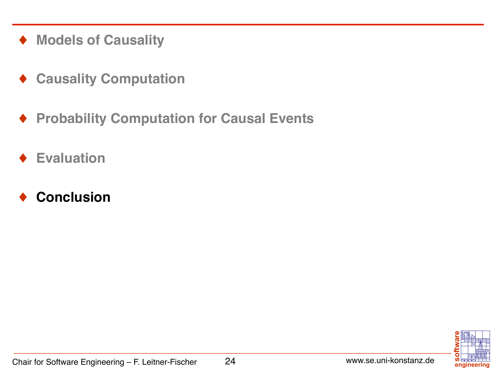- ♦ **Models of Causality**
- ♦ **Causality Computation**
- ♦ **Probability Computation for Causal Events**
- **Evaluation**
- **Conclusion**

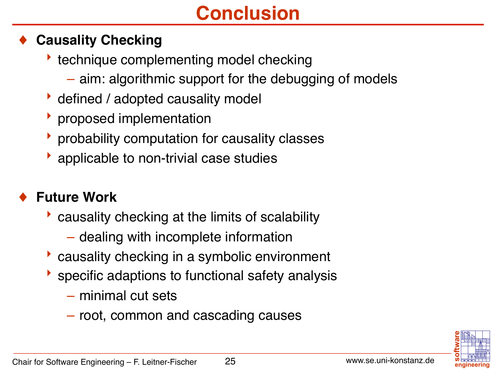# **Conclusion**

### **Causality Checking**

- $\rightarrow$  technique complementing model checking
	- aim: algorithmic support for the debugging of models
- $\bullet$  defined / adopted causality model
- $\rightarrow$  proposed implementation
- $\rightarrow$  probability computation for causality classes
- $\bullet$  applicable to non-trivial case studies

### **Future Work**

- $\triangleright$  causality checking at the limits of scalability
	- dealing with incomplete information
- $\blacktriangleright$  causality checking in a symbolic environment
- $\blacktriangleright$  specific adaptions to functional safety analysis
	- minimal cut sets
	- root, common and cascading causes